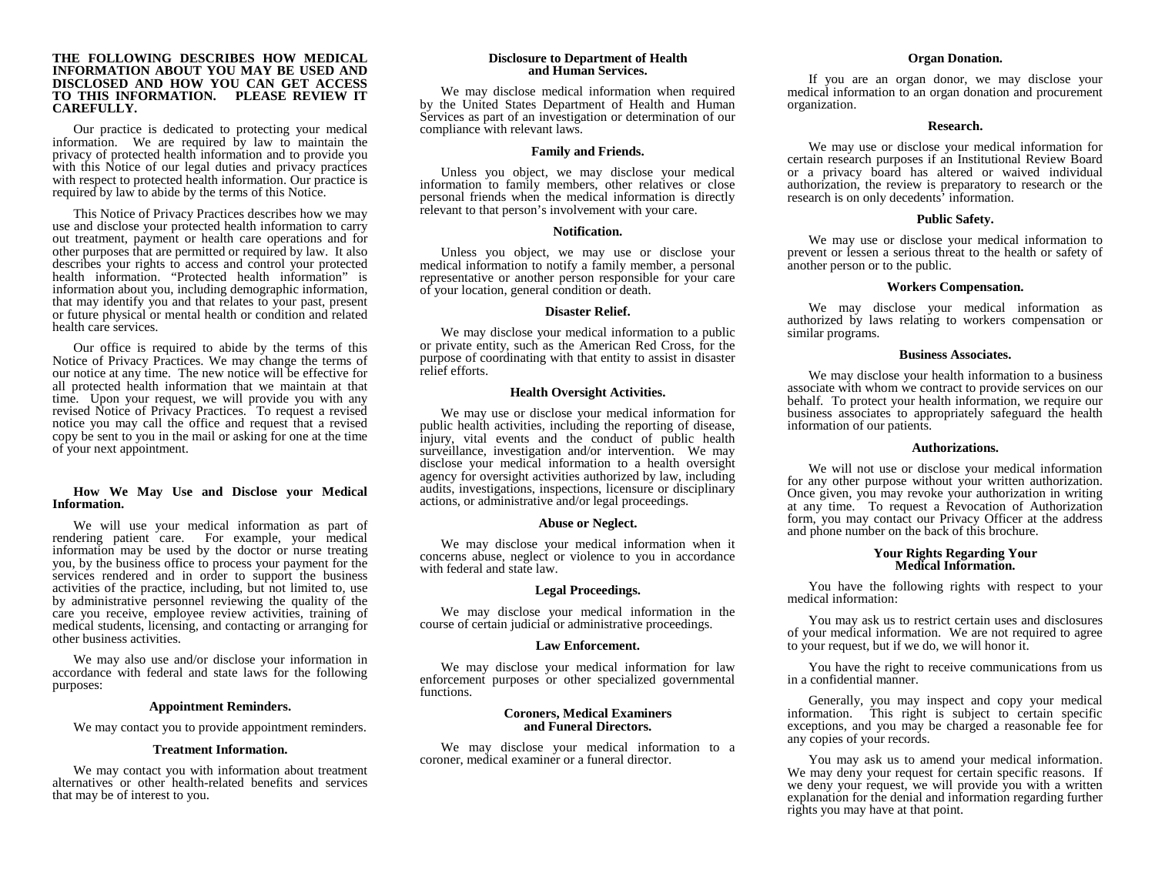#### **THE FOLLOWING DESCRIBES HOW MEDICAL INFORMATION ABOUT YOU MAY BE USED AND DISCLOSED AND HOW YOU CAN GET ACCESS TO THIS INFORMATION. PLEASE REVIEW IT CAREFULLY.**

Our practice is dedicated to protecting your medical information. We are required by law to maintain the privacy of protected health information and to provide you with this Notice of our legal duties and privacy practices with respect to protected health information. Our practice is required by law to abide by the terms of this Notice.

This Notice of Privacy Practices describes how we may use and disclose your protected health information to carry out treatment, payment or health care operations and for other purposes that are permitted or required by law. It also describes your rights to access and control your protected health information. "Protected health information" is information about you, including demographic information, that may identify you and that relates to your past, present or future physical or mental health or condition and related health care services.

Our office is required to abide by the terms of this Notice of Privacy Practices. We may change the terms of our notice at any time. The new notice will be effective for all protected health information that we maintain at that time. Upon your request, we will provide you with any revised Notice of Privacy Practices. To request a revised notice you may call the office and request that a revised copy be sent to you in the mail or asking for one at the time of your next appointment.

## **How We May Use and Disclose your Medical Information.**

We will use your medical information as part of rendering patient care. For example, your medical information may be used by the doctor or nurse treating you, by the business office to process your payment for the services rendered and in order to support the business activities of the practice, including, but not limited to, use by administrative personnel reviewing the quality of the care you receive, employee review activities, training of medical students, licensing, and contacting or arranging for other business activities.

We may also use and/or disclose your information in accordance with federal and state laws for the following purposes:

# **Appointment Reminders.**

We may contact you to provide appointment reminders.

#### **Treatment Information.**

We may contact you with information about treatment alternatives or other health-related benefits and services that may be of interest to you.

#### **Disclosure to Department of Health and Human Services.**

We may disclose medical information when required by the United States Department of Health and Human Services as part of an investigation or determination of our compliance with relevant laws.

#### **Family and Friends.**

Unless you object, we may disclose your medical information to family members, other relatives or close personal friends when the medical information is directly relevant to that person's involvement with your care.

#### **Notification.**

Unless you object, we may use or disclose your medical information to notify a family member, a personal representative or another person responsible for your care of your location, general condition or death.

#### **Disaster Relief.**

We may disclose your medical information to a public or private entity, such as the American Red Cross, for the purpose of coordinating with that entity to assist in disaster relief efforts.

#### **Health Oversight Activities.**

We may use or disclose your medical information for public health activities, including the reporting of disease, injury, vital events and the conduct of public health surveillance, investigation and/or intervention. We may disclose your medical information to a health oversight agency for oversight activities authorized by law, including audits, investigations, inspections, licensure or disciplinary actions, or administrative and/or legal proceedings.

#### **Abuse or Neglect.**

We may disclose your medical information when it concerns abuse, neglect or violence to you in accordance with federal and state law.

# **Legal Proceedings.**

We may disclose your medical information in the course of certain judicial or administrative proceedings.

#### **Law Enforcement.**

We may disclose your medical information for law enforcement purposes or other specialized governmental functions.

#### **Coroners, Medical Examiners and Funeral Directors.**

We may disclose your medical information to a coroner, medical examiner or a funeral director.

# **Organ Donation.**

If you are an organ donor, we may disclose your medical information to an organ donation and procurement organization.

#### **Research.**

We may use or disclose your medical information for certain research purposes if an Institutional Review Board or a privacy board has altered or waived individual authorization, the review is preparatory to research or the research is on only decedents' information.

# **Public Safety.**

We may use or disclose your medical information to prevent or lessen a serious threat to the health or safety of another person or to the public.

## **Workers Compensation.**

We may disclose your medical information as authorized by laws relating to workers compensation or similar programs.

#### **Business Associates.**

We may disclose your health information to a business associate with whom we contract to provide services on our behalf. To protect your health information, we require our business associates to appropriately safeguard the health information of our patients.

#### **Authorizations.**

We will not use or disclose your medical information for any other purpose without your written authorization. Once given, you may revoke your authorization in writing at any time. To request a Revocation of Authorization form, you may contact our Privacy Officer at the address and phone number on the back of this brochure.

#### **Your Rights Regarding Your Medical Information.**

You have the following rights with respect to your medical information:

You may ask us to restrict certain uses and disclosures of your medical information. We are not required to agree to your request, but if we do, we will honor it.

You have the right to receive communications from us in a confidential manner.

Generally, you may inspect and copy your medical information. This right is subject to certain specific exceptions, and you may be charged a reasonable fee for any copies of your records.

You may ask us to amend your medical information. We may deny your request for certain specific reasons. If we deny your request, we will provide you with a written explanation for the denial and information regarding further rights you may have at that point.